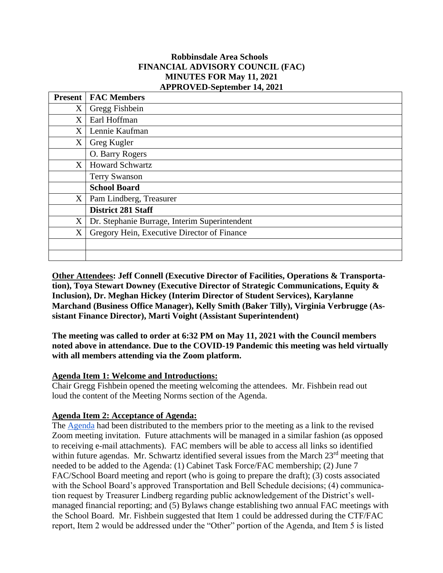### **Robbinsdale Area Schools FINANCIAL ADVISORY COUNCIL (FAC) MINUTES FOR May 11, 2021 APPROVED-September 14, 2021**

|                   | <b>Present   FAC Members</b>                  |
|-------------------|-----------------------------------------------|
| X                 | Gregg Fishbein                                |
| X                 | Earl Hoffman                                  |
| X                 | Lennie Kaufman                                |
| X                 | Greg Kugler                                   |
|                   | O. Barry Rogers                               |
| X                 | <b>Howard Schwartz</b>                        |
|                   | <b>Terry Swanson</b>                          |
|                   | <b>School Board</b>                           |
| $X_{\mathcal{E}}$ | Pam Lindberg, Treasurer                       |
|                   | <b>District 281 Staff</b>                     |
| X                 | Dr. Stephanie Burrage, Interim Superintendent |
| X                 | Gregory Hein, Executive Director of Finance   |
|                   |                                               |
|                   |                                               |

**Other Attendees: Jeff Connell (Executive Director of Facilities, Operations & Transportation), Toya Stewart Downey (Executive Director of Strategic Communications, Equity & Inclusion), Dr. Meghan Hickey (Interim Director of Student Services), Karylanne Marchand (Business Office Manager), Kelly Smith (Baker Tilly), Virginia Verbrugge (Assistant Finance Director), Marti Voight (Assistant Superintendent)**

**The meeting was called to order at 6:32 PM on May 11, 2021 with the Council members noted above in attendance. Due to the COVID-19 Pandemic this meeting was held virtually with all members attending via the Zoom platform.**

### **Agenda Item 1: Welcome and Introductions:**

Chair Gregg Fishbein opened the meeting welcoming the attendees. Mr. Fishbein read out loud the content of the Meeting Norms section of the Agenda.

# **Agenda Item 2: Acceptance of Agenda:**

The [Agenda](https://docs.google.com/document/d/11efuH3pQkYfuxWRSPT79Tr4Sy1FbmyQGi-uvBYxf9ms/edit?usp=sharing) had been distributed to the members prior to the meeting as a link to the revised Zoom meeting invitation. Future attachments will be managed in a similar fashion (as opposed to receiving e-mail attachments). FAC members will be able to access all links so identified within future agendas. Mr. Schwartz identified several issues from the March 23<sup>rd</sup> meeting that needed to be added to the Agenda: (1) Cabinet Task Force/FAC membership; (2) June 7 FAC/School Board meeting and report (who is going to prepare the draft); (3) costs associated with the School Board's approved Transportation and Bell Schedule decisions; (4) communication request by Treasurer Lindberg regarding public acknowledgement of the District's wellmanaged financial reporting; and (5) Bylaws change establishing two annual FAC meetings with the School Board. Mr. Fishbein suggested that Item 1 could be addressed during the CTF/FAC report, Item 2 would be addressed under the "Other" portion of the Agenda, and Item 5 is listed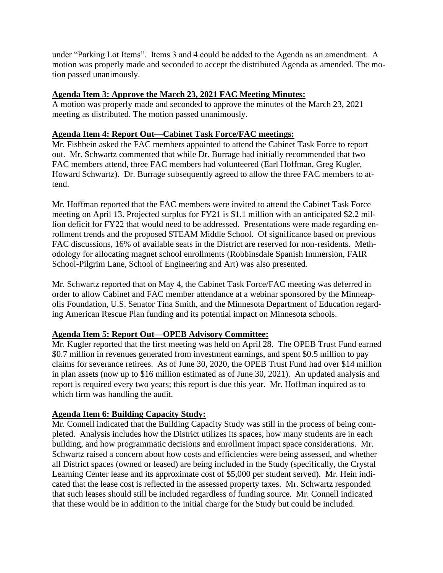under "Parking Lot Items". Items 3 and 4 could be added to the Agenda as an amendment. A motion was properly made and seconded to accept the distributed Agenda as amended. The motion passed unanimously.

### **Agenda Item 3: Approve the March 23, 2021 FAC Meeting Minutes:**

A motion was properly made and seconded to approve the minutes of the March 23, 2021 meeting as distributed. The motion passed unanimously.

### **Agenda Item 4: Report Out—Cabinet Task Force/FAC meetings:**

Mr. Fishbein asked the FAC members appointed to attend the Cabinet Task Force to report out. Mr. Schwartz commented that while Dr. Burrage had initially recommended that two FAC members attend, three FAC members had volunteered (Earl Hoffman, Greg Kugler, Howard Schwartz). Dr. Burrage subsequently agreed to allow the three FAC members to attend.

Mr. Hoffman reported that the FAC members were invited to attend the Cabinet Task Force meeting on April 13. Projected surplus for FY21 is \$1.1 million with an anticipated \$2.2 million deficit for FY22 that would need to be addressed. Presentations were made regarding enrollment trends and the proposed STEAM Middle School. Of significance based on previous FAC discussions, 16% of available seats in the District are reserved for non-residents. Methodology for allocating magnet school enrollments (Robbinsdale Spanish Immersion, FAIR School-Pilgrim Lane, School of Engineering and Art) was also presented.

Mr. Schwartz reported that on May 4, the Cabinet Task Force/FAC meeting was deferred in order to allow Cabinet and FAC member attendance at a webinar sponsored by the Minneapolis Foundation, U.S. Senator Tina Smith, and the Minnesota Department of Education regarding American Rescue Plan funding and its potential impact on Minnesota schools.

# **Agenda Item 5: Report Out—OPEB Advisory Committee:**

Mr. Kugler reported that the first meeting was held on April 28. The OPEB Trust Fund earned \$0.7 million in revenues generated from investment earnings, and spent \$0.5 million to pay claims for severance retirees. As of June 30, 2020, the OPEB Trust Fund had over \$14 million in plan assets (now up to \$16 million estimated as of June 30, 2021). An updated analysis and report is required every two years; this report is due this year. Mr. Hoffman inquired as to which firm was handling the audit.

# **Agenda Item 6: Building Capacity Study:**

Mr. Connell indicated that the Building Capacity Study was still in the process of being completed. Analysis includes how the District utilizes its spaces, how many students are in each building, and how programmatic decisions and enrollment impact space considerations. Mr. Schwartz raised a concern about how costs and efficiencies were being assessed, and whether all District spaces (owned or leased) are being included in the Study (specifically, the Crystal Learning Center lease and its approximate cost of \$5,000 per student served). Mr. Hein indicated that the lease cost is reflected in the assessed property taxes. Mr. Schwartz responded that such leases should still be included regardless of funding source. Mr. Connell indicated that these would be in addition to the initial charge for the Study but could be included.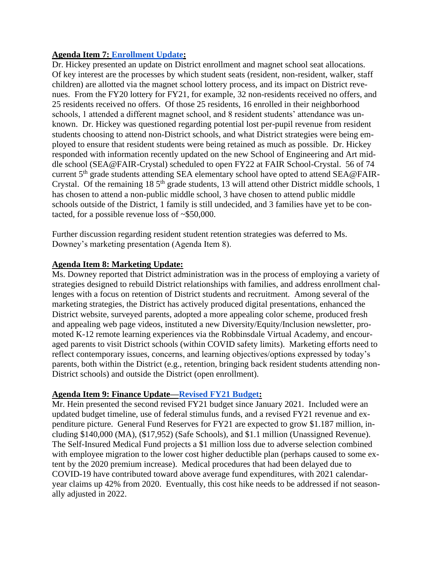### **Agenda Item 7: [Enrollment Update:](https://drive.google.com/file/d/131nl4EtZWp0rU0IUhj29HwtzthbACsMF/view?usp=sharing)**

Dr. Hickey presented an update on District enrollment and magnet school seat allocations. Of key interest are the processes by which student seats (resident, non-resident, walker, staff children) are allotted via the magnet school lottery process, and its impact on District revenues. From the FY20 lottery for FY21, for example, 32 non-residents received no offers, and 25 residents received no offers. Of those 25 residents, 16 enrolled in their neighborhood schools, 1 attended a different magnet school, and 8 resident students' attendance was unknown. Dr. Hickey was questioned regarding potential lost per-pupil revenue from resident students choosing to attend non-District schools, and what District strategies were being employed to ensure that resident students were being retained as much as possible. Dr. Hickey responded with information recently updated on the new School of Engineering and Art middle school (SEA@FAIR-Crystal) scheduled to open FY22 at FAIR School-Crystal. 56 of 74 current 5<sup>th</sup> grade students attending SEA elementary school have opted to attend SEA@FAIR-Crystal. Of the remaining  $18\,5^{th}$  grade students, 13 will attend other District middle schools, 1 has chosen to attend a non-public middle school, 3 have chosen to attend public middle schools outside of the District, 1 family is still undecided, and 3 families have yet to be contacted, for a possible revenue loss of ~\$50,000.

Further discussion regarding resident student retention strategies was deferred to Ms. Downey's marketing presentation (Agenda Item 8).

### **Agenda Item 8: Marketing Update:**

Ms. Downey reported that District administration was in the process of employing a variety of strategies designed to rebuild District relationships with families, and address enrollment challenges with a focus on retention of District students and recruitment. Among several of the marketing strategies, the District has actively produced digital presentations, enhanced the District website, surveyed parents, adopted a more appealing color scheme, produced fresh and appealing web page videos, instituted a new Diversity/Equity/Inclusion newsletter, promoted K-12 remote learning experiences via the Robbinsdale Virtual Academy, and encouraged parents to visit District schools (within COVID safety limits). Marketing efforts need to reflect contemporary issues, concerns, and learning objectives/options expressed by today's parents, both within the District (e.g., retention, bringing back resident students attending non-District schools) and outside the District (open enrollment).

### **Agenda Item 9: Finance Update[—Revised FY21 Budget:](https://drive.google.com/file/d/1tSbfnjw1_WcM6FOetMEBgzQge8fNFQ_a/view?usp=sharing)**

Mr. Hein presented the second revised FY21 budget since January 2021. Included were an updated budget timeline, use of federal stimulus funds, and a revised FY21 revenue and expenditure picture. General Fund Reserves for FY21 are expected to grow \$1.187 million, including \$140,000 (MA), (\$17,952) (Safe Schools), and \$1.1 million (Unassigned Revenue). The Self-Insured Medical Fund projects a \$1 million loss due to adverse selection combined with employee migration to the lower cost higher deductible plan (perhaps caused to some extent by the 2020 premium increase). Medical procedures that had been delayed due to COVID-19 have contributed toward above average fund expenditures, with 2021 calendaryear claims up 42% from 2020. Eventually, this cost hike needs to be addressed if not seasonally adjusted in 2022.